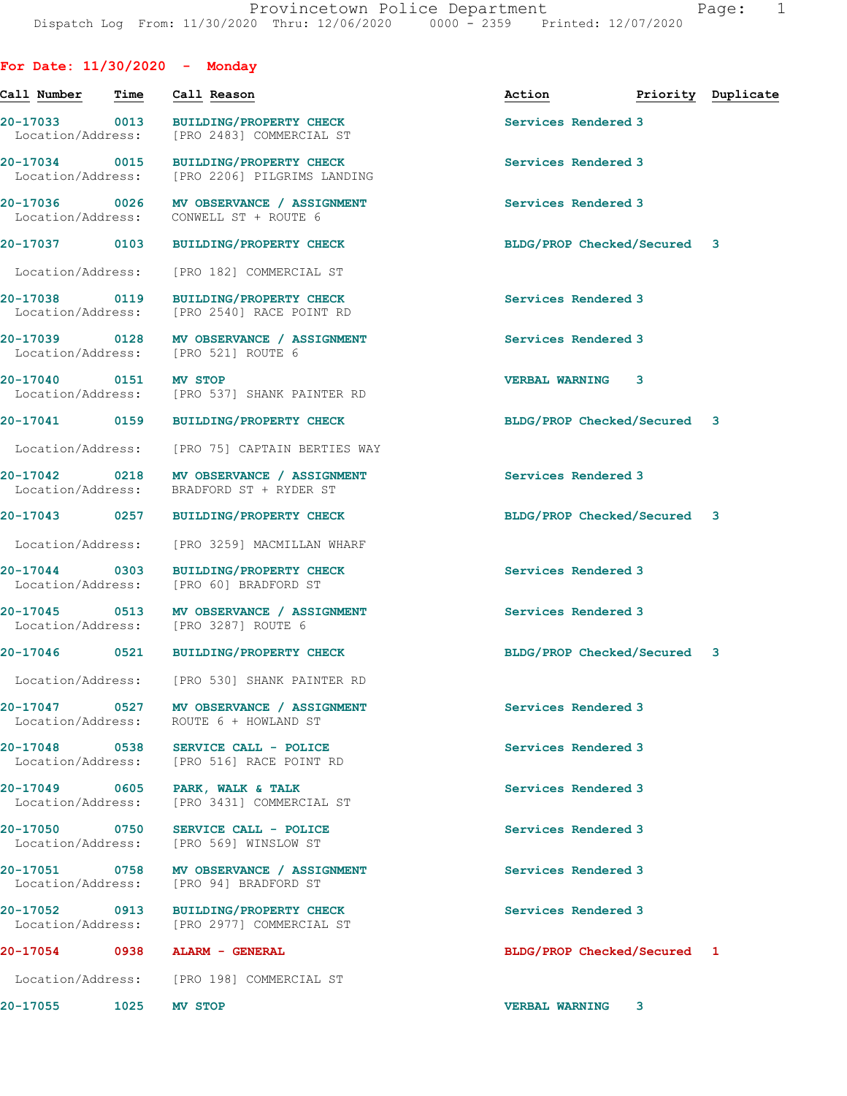| For Date: $11/30/2020 -$ Monday    |      |                                                                                      |                                  |  |
|------------------------------------|------|--------------------------------------------------------------------------------------|----------------------------------|--|
| Call Number                        | Time | Call Reason                                                                          | Action <b>Priority</b> Duplicate |  |
|                                    |      | 20-17033 0013 BUILDING/PROPERTY CHECK<br>Location/Address: [PRO 2483] COMMERCIAL ST  | Services Rendered 3              |  |
| Location/Address:                  |      | 20-17034 0015 BUILDING/PROPERTY CHECK<br>[PRO 2206] PILGRIMS LANDING                 | Services Rendered 3              |  |
| 20-17036 0026<br>Location/Address: |      | MV OBSERVANCE / ASSIGNMENT<br>CONWELL ST + ROUTE 6                                   | Services Rendered 3              |  |
|                                    |      | 20-17037 0103 BUILDING/PROPERTY CHECK                                                | BLDG/PROP Checked/Secured 3      |  |
| Location/Address:                  |      | [PRO 182] COMMERCIAL ST                                                              |                                  |  |
| Location/Address:                  |      | 20-17038 0119 BUILDING/PROPERTY CHECK<br>[PRO 2540] RACE POINT RD                    | Services Rendered 3              |  |
|                                    |      | 20-17039 0128 MV OBSERVANCE / ASSIGNMENT<br>Location/Address: [PRO 521] ROUTE 6      | Services Rendered 3              |  |
| 20-17040 0151 MV STOP              |      | Location/Address: [PRO 537] SHANK PAINTER RD                                         | <b>VERBAL WARNING 3</b>          |  |
|                                    |      | 20-17041 0159 BUILDING/PROPERTY CHECK                                                | BLDG/PROP Checked/Secured 3      |  |
|                                    |      | Location/Address: [PRO 75] CAPTAIN BERTIES WAY                                       |                                  |  |
|                                    |      | 20-17042 0218 MV OBSERVANCE / ASSIGNMENT<br>Location/Address: BRADFORD ST + RYDER ST | Services Rendered 3              |  |
|                                    |      | 20-17043 0257 BUILDING/PROPERTY CHECK                                                | BLDG/PROP Checked/Secured 3      |  |
|                                    |      | Location/Address: [PRO 3259] MACMILLAN WHARF                                         |                                  |  |
|                                    |      | 20-17044 0303 BUILDING/PROPERTY CHECK<br>Location/Address: [PRO 60] BRADFORD ST      | Services Rendered 3              |  |
|                                    |      | 20-17045 0513 MV OBSERVANCE / ASSIGNMENT<br>Location/Address: [PRO 3287] ROUTE 6     | Services Rendered 3              |  |
|                                    |      | 20-17046 0521 BUILDING/PROPERTY CHECK                                                | BLDG/PROP Checked/Secured 3      |  |
|                                    |      | Location/Address: [PRO 530] SHANK PAINTER RD                                         |                                  |  |
| Location/Address:                  |      | 20-17047 0527 MV OBSERVANCE / ASSIGNMENT<br>ROUTE 6 + HOWLAND ST                     | Services Rendered 3              |  |
|                                    |      | 20-17048 0538 SERVICE CALL - POLICE<br>Location/Address: [PRO 516] RACE POINT RD     | Services Rendered 3              |  |
| Location/Address:                  |      | 20-17049 0605 PARK, WALK & TALK<br>[PRO 3431] COMMERCIAL ST                          | Services Rendered 3              |  |
|                                    |      | 20-17050 0750 SERVICE CALL - POLICE<br>Location/Address: [PRO 569] WINSLOW ST        | Services Rendered 3              |  |
| Location/Address:                  |      | 20-17051 0758 MV OBSERVANCE / ASSIGNMENT<br>[PRO 94] BRADFORD ST                     | Services Rendered 3              |  |
|                                    |      | 20-17052 0913 BUILDING/PROPERTY CHECK<br>Location/Address: [PRO 2977] COMMERCIAL ST  | Services Rendered 3              |  |
|                                    |      | 20-17054 0938 ALARM - GENERAL                                                        | BLDG/PROP Checked/Secured 1      |  |
|                                    |      | Location/Address: [PRO 198] COMMERCIAL ST                                            |                                  |  |
| 20-17055 1025 MV STOP              |      |                                                                                      | VERBAL WARNING 3                 |  |
|                                    |      |                                                                                      |                                  |  |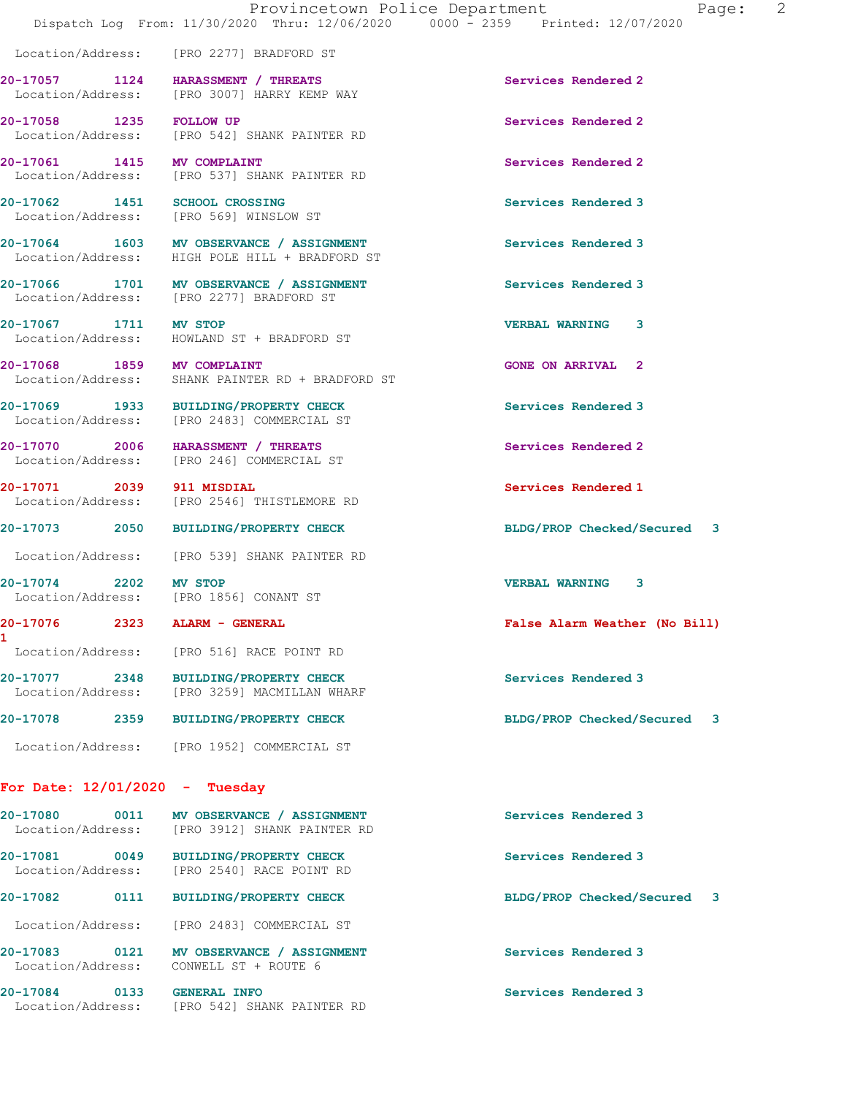[PRO 542] SHANK PAINTER RD

Location/Address: [PRO 2277] BRADFORD ST

**20-17057 1124 HARASSMENT / THREATS Services Rendered 2**  Location/Address: [PRO 3007] HARRY KEMP WAY

**20-17058 1235 FOLLOW UP 1235 FOLLOW UP Services Rendered 2 12058** IPRO 542] SHANK PAINTER RD

**20-17061** 1415 MV COMPLAINT 1415 Services Rendered 2 Location/Address: [PRO 537] SHANK PAINTER RD

**20-17062 1451 SCHOOL CROSSING Services Rendered 3**  Location/Address: [PRO 569] WINSLOW ST

20-17064 1603 MV OBSERVANCE / ASSIGNMENT Services Rendered 3 Location/Address: HIGH POLE HILL + BRADFORD ST

20-17066 1701 MV OBSERVANCE / ASSIGNMENT **Services Rendered 3** Location/Address: [PRO 2277] BRADFORD ST

**20-17067 1711 MV STOP VERBAL WARNING 3**  Location/Address: HOWLAND ST + BRADFORD ST

**20-17068 1859 MV COMPLAINT GONE ON ARRIVAL 2**  Location/Address: SHANK PAINTER RD + BRADFORD ST

**20-17069 1933 BUILDING/PROPERTY CHECK Services Rendered 3**  Location/Address: [PRO 2483] COMMERCIAL ST

**20-17070 2006 HARASSMENT / THREATS Services Rendered 2**  Location/Address: [PRO 246] COMMERCIAL ST

Location/Address: [PRO 2546] THISTLEMORE RD

**1** 

Location/Address: [PRO 539] SHANK PAINTER RD

Location/Address: [PRO 1856] CONANT ST

Location/Address: [PRO 3259] MACMILLAN WHARF

Location/Address: [PRO 1952] COMMERCIAL ST

Location/Address: [PRO 516] RACE POINT RD

## **For Date: 12/01/2020 - Tuesday**

| 20-17080<br>Location/Address: | 0011 | MV OBSERVANCE / ASSIGNMENT<br>[PRO 3912] SHANK PAINTER RD  | Services Rendered 3              |  |
|-------------------------------|------|------------------------------------------------------------|----------------------------------|--|
| 20-17081<br>Location/Address: | 0049 | <b>BUILDING/PROPERTY CHECK</b><br>[PRO 2540] RACE POINT RD | Services Rendered 3              |  |
| 20-17082                      | 0111 | <b>BUILDING/PROPERTY CHECK</b>                             | BLDG/PROP Checked/Secured<br>- 3 |  |
| Location/Address:             |      | [PRO 2483] COMMERCIAL ST                                   |                                  |  |
| 20-17083<br>Location/Address: | 0121 | MV OBSERVANCE / ASSIGNMENT<br>CONWELL ST + ROUTE 6         | Services Rendered 3              |  |

**20-17084 0133 GENERAL INFO 121 CENERAL SERVICES Rendered 3 Interval Services Rendered 3** [PRO 542] SHANK PAINTER RD

**20-17071 2039 911 MISDIAL Services Rendered 1** 

**20-17073 2050 BUILDING/PROPERTY CHECK BLDG/PROP Checked/Secured 3**

**20-17074 2202 MV STOP VERBAL WARNING 3** 

**20-17076 2323 ALARM - GENERAL False Alarm Weather (No Bill)**

**20-17077 2348 BUILDING/PROPERTY CHECK Services Rendered 3** 

**20-17078 2359 BUILDING/PROPERTY CHECK BLDG/PROP Checked/Secured 3**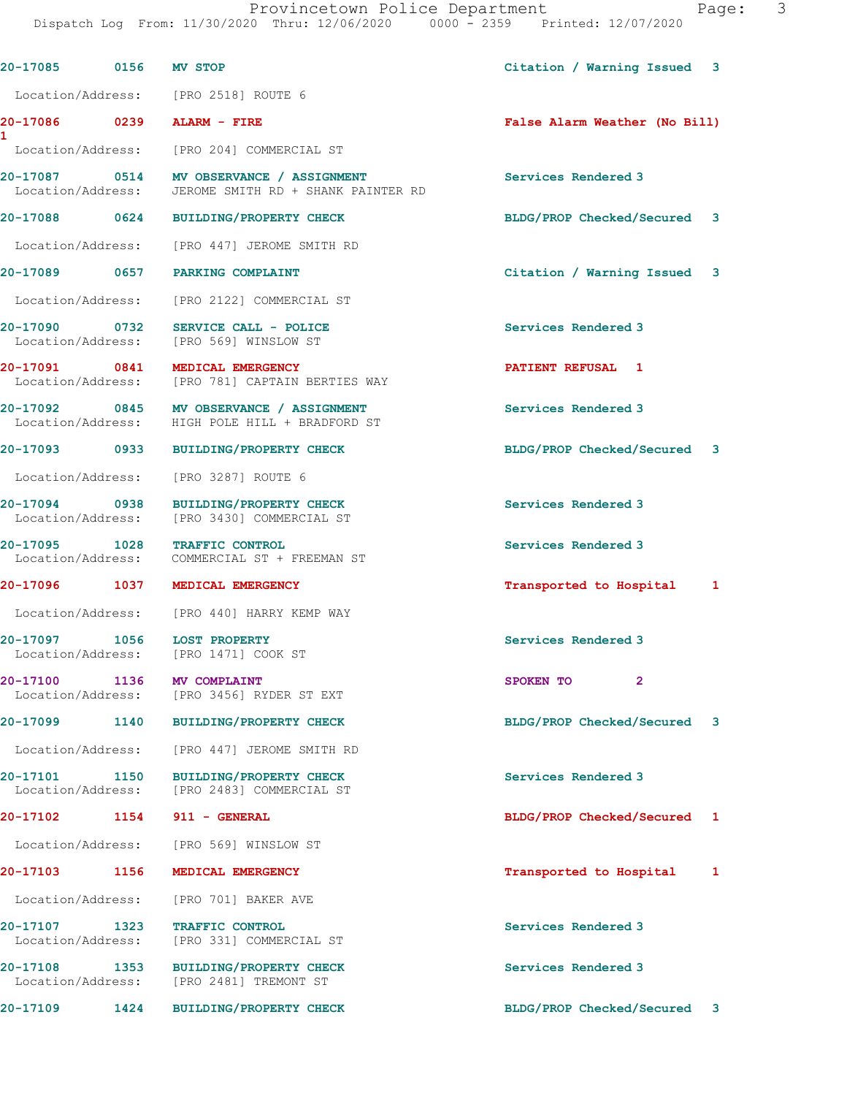| 20-17085 0156                         | MV STOP                                                                                    | Citation / Warning Issued<br>3  |
|---------------------------------------|--------------------------------------------------------------------------------------------|---------------------------------|
|                                       | Location/Address: [PRO 2518] ROUTE 6                                                       |                                 |
| 20-17086 0239 ALARM - FIRE<br>1       |                                                                                            | False Alarm Weather (No Bill)   |
|                                       | Location/Address: [PRO 204] COMMERCIAL ST                                                  |                                 |
|                                       | Location/Address: JEROME SMITH RD + SHANK PAINTER RD                                       | Services Rendered 3             |
|                                       | 20-17088 0624 BUILDING/PROPERTY CHECK                                                      | BLDG/PROP Checked/Secured 3     |
|                                       | Location/Address: [PRO 447] JEROME SMITH RD                                                |                                 |
|                                       | 20-17089 0657 PARKING COMPLAINT                                                            | Citation / Warning Issued<br>-3 |
|                                       | Location/Address: [PRO 2122] COMMERCIAL ST                                                 |                                 |
| 20-17090 0732                         | SERVICE CALL - POLICE<br>Location/Address: [PRO 569] WINSLOW ST                            | Services Rendered 3             |
|                                       | 20-17091 0841 MEDICAL EMERGENCY<br>Location/Address: [PRO 781] CAPTAIN BERTIES WAY         | PATIENT REFUSAL 1               |
|                                       | 20-17092 0845 MV OBSERVANCE / ASSIGNMENT<br>Location/Address: HIGH POLE HILL + BRADFORD ST | Services Rendered 3             |
|                                       | 20-17093 0933 BUILDING/PROPERTY CHECK                                                      | BLDG/PROP Checked/Secured 3     |
| Location/Address:                     | [PRO 3287] ROUTE 6                                                                         |                                 |
|                                       | 20-17094 0938 BUILDING/PROPERTY CHECK<br>Location/Address: [PRO 3430] COMMERCIAL ST        | Services Rendered 3             |
|                                       | 20-17095 1028 TRAFFIC CONTROL<br>Location/Address: COMMERCIAL ST + FREEMAN ST              | Services Rendered 3             |
|                                       | 20-17096 1037 MEDICAL EMERGENCY                                                            | Transported to Hospital<br>1    |
|                                       | Location/Address: [PRO 440] HARRY KEMP WAY                                                 |                                 |
|                                       | 20-17097 1056 LOST PROPERTY<br>Location/Address: [PRO 1471] COOK ST                        | Services Rendered 3             |
| 20-17100<br>1136<br>Location/Address: | MV COMPLAINT<br>[PRO 3456] RYDER ST EXT                                                    | SPOKEN TO<br>$\mathbf{2}$       |
| 20-17099<br>1140                      | <b>BUILDING/PROPERTY CHECK</b>                                                             | BLDG/PROP Checked/Secured<br>3  |
| Location/Address:                     | [PRO 447] JEROME SMITH RD                                                                  |                                 |
| 20-17101<br>1150<br>Location/Address: | <b>BUILDING/PROPERTY CHECK</b><br>[PRO 2483] COMMERCIAL ST                                 | Services Rendered 3             |
| 20-17102<br>1154                      | 911 - GENERAL                                                                              | BLDG/PROP Checked/Secured 1     |
| Location/Address:                     | [PRO 569] WINSLOW ST                                                                       |                                 |
| 20-17103<br>1156                      | MEDICAL EMERGENCY                                                                          | Transported to Hospital<br>1    |
| Location/Address:                     | [PRO 701] BAKER AVE                                                                        |                                 |
| 20-17107<br>1323<br>Location/Address: | TRAFFIC CONTROL<br>[PRO 331] COMMERCIAL ST                                                 | Services Rendered 3             |
| 20-17108<br>1353<br>Location/Address: | <b>BUILDING/PROPERTY CHECK</b><br>[PRO 2481] TREMONT ST                                    | Services Rendered 3             |
| 20-17109<br>1424                      | BUILDING/PROPERTY CHECK                                                                    | BLDG/PROP Checked/Secured 3     |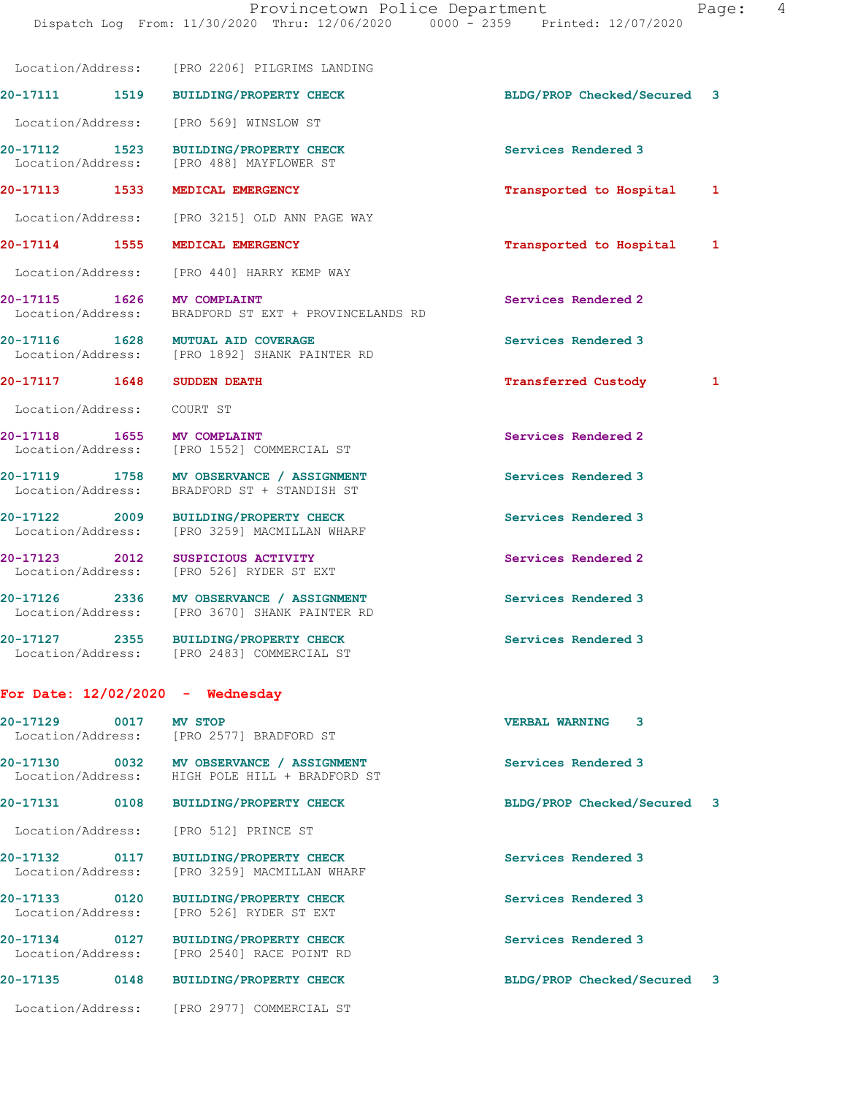Location/Address: [PRO 2206] PILGRIMS LANDING

| aqe: |  |  | 4 |
|------|--|--|---|
|------|--|--|---|

|                                    |      | 20-17111 1519 BUILDING/PROPERTY CHECK                                                     | BLDG/PROP Checked/Secured 3 |              |
|------------------------------------|------|-------------------------------------------------------------------------------------------|-----------------------------|--------------|
|                                    |      | Location/Address: [PRO 569] WINSLOW ST                                                    |                             |              |
|                                    |      | 20-17112 1523 BUILDING/PROPERTY CHECK<br>Location/Address: [PRO 488] MAYFLOWER ST         | Services Rendered 3         |              |
|                                    |      | 20-17113 1533 MEDICAL EMERGENCY                                                           | Transported to Hospital     | $\mathbf{1}$ |
|                                    |      | Location/Address: [PRO 3215] OLD ANN PAGE WAY                                             |                             |              |
| 20-17114 1555                      |      | MEDICAL EMERGENCY                                                                         | Transported to Hospital 1   |              |
|                                    |      | Location/Address: [PRO 440] HARRY KEMP WAY                                                |                             |              |
| 20-17115 1626 MV COMPLAINT         |      | Location/Address: BRADFORD ST EXT + PROVINCELANDS RD                                      | Services Rendered 2         |              |
|                                    |      | 20-17116 1628 MUTUAL AID COVERAGE<br>Location/Address: [PRO 1892] SHANK PAINTER RD        | Services Rendered 3         |              |
| 20-17117 1648 SUDDEN DEATH         |      |                                                                                           | <b>Transferred Custody</b>  | $\mathbf{1}$ |
| Location/Address: COURT ST         |      |                                                                                           |                             |              |
| 20-17118 1655 MV COMPLAINT         |      | Location/Address: [PRO 1552] COMMERCIAL ST                                                | Services Rendered 2         |              |
|                                    |      | 20-17119 1758 MV OBSERVANCE / ASSIGNMENT<br>Location/Address: BRADFORD ST + STANDISH ST   | Services Rendered 3         |              |
|                                    |      | 20-17122 2009 BUILDING/PROPERTY CHECK<br>Location/Address: [PRO 3259] MACMILLAN WHARF     | Services Rendered 3         |              |
| 20-17123 2012                      |      | SUSPICIOUS ACTIVITY<br>Location/Address: [PRO 526] RYDER ST EXT                           | Services Rendered 2         |              |
|                                    |      | 20-17126 2336 MV OBSERVANCE / ASSIGNMENT<br>Location/Address: [PRO 3670] SHANK PAINTER RD | Services Rendered 3         |              |
|                                    |      | 20-17127 2355 BUILDING/PROPERTY CHECK<br>Location/Address: [PRO 2483] COMMERCIAL ST       | Services Rendered 3         |              |
|                                    |      | For Date: $12/02/2020 -$ Wednesday                                                        |                             |              |
| 20-17129 0017                      |      | <b>MV STOP</b><br>Location/Address: [PRO 2577] BRADFORD ST                                | <b>VERBAL WARNING</b><br>3  |              |
| Location/Address:                  |      | 20-17130 0032 MV OBSERVANCE / ASSIGNMENT<br>HIGH POLE HILL + BRADFORD ST                  | Services Rendered 3         |              |
| 20-17131                           | 0108 | <b>BUILDING/PROPERTY CHECK</b>                                                            | BLDG/PROP Checked/Secured 3 |              |
|                                    |      | Location/Address: [PRO 512] PRINCE ST                                                     |                             |              |
| 20-17132 0117<br>Location/Address: |      | <b>BUILDING/PROPERTY CHECK</b><br>[PRO 3259] MACMILLAN WHARF                              | Services Rendered 3         |              |
| 20-17133 0120                      |      | <b>BUILDING/PROPERTY CHECK</b><br>Location/Address: [PRO 526] RYDER ST EXT                | Services Rendered 3         |              |

**20-17134 0127 BUILDING/PROPERTY CHECK Services Rendered 3**  Location/Address: [PRO 2540] RACE POINT RD

**20-17135 0148 BUILDING/PROPERTY CHECK BLDG/PROP Checked/Secured 3**

Location/Address: [PRO 2977] COMMERCIAL ST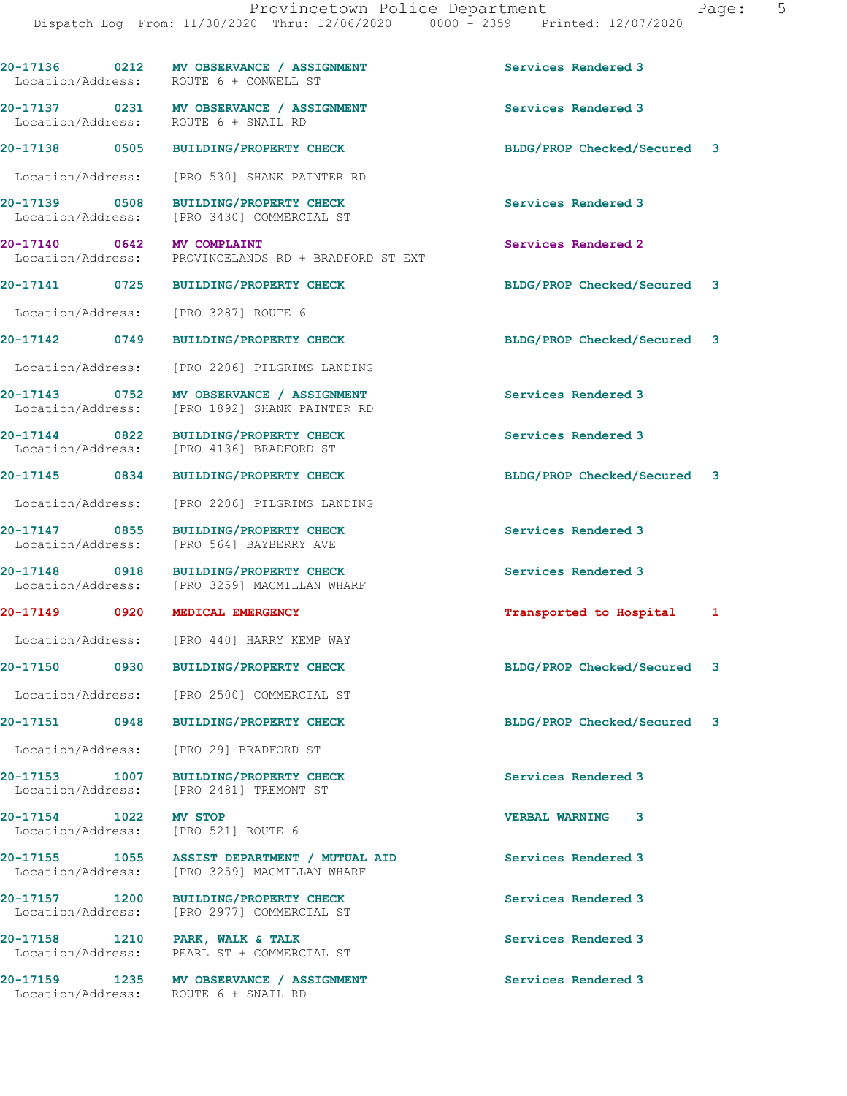|                                                              | 20-17136 0212 MV OBSERVANCE / ASSIGNMENT<br>Location/Address: ROUTE 6 + CONWELL ST           | Services Rendered 3         |  |
|--------------------------------------------------------------|----------------------------------------------------------------------------------------------|-----------------------------|--|
| Location/Address: ROUTE 6 + SNAIL RD                         | 20-17137 0231 MV OBSERVANCE / ASSIGNMENT                                                     | Services Rendered 3         |  |
|                                                              | 20-17138 0505 BUILDING/PROPERTY CHECK                                                        | BLDG/PROP Checked/Secured 3 |  |
|                                                              | Location/Address: [PRO 530] SHANK PAINTER RD                                                 |                             |  |
|                                                              | Location/Address: [PRO 3430] COMMERCIAL ST                                                   | Services Rendered 3         |  |
| 20-17140 0642 MV COMPLAINT                                   | Location/Address: PROVINCELANDS RD + BRADFORD ST EXT                                         | Services Rendered 2         |  |
|                                                              | 20-17141 0725 BUILDING/PROPERTY CHECK                                                        | BLDG/PROP Checked/Secured 3 |  |
| Location/Address:                                            | [PRO 3287] ROUTE 6                                                                           |                             |  |
| 20-17142 0749                                                | <b>BUILDING/PROPERTY CHECK</b>                                                               | BLDG/PROP Checked/Secured 3 |  |
|                                                              | Location/Address: [PRO 2206] PILGRIMS LANDING                                                |                             |  |
|                                                              | 20-17143 0752 MV OBSERVANCE / ASSIGNMENT<br>Location/Address: [PRO 1892] SHANK PAINTER RD    | Services Rendered 3         |  |
|                                                              | 20-17144 0822 BUILDING/PROPERTY CHECK<br>Location/Address: [PRO 4136] BRADFORD ST            | Services Rendered 3         |  |
|                                                              | 20-17145 0834 BUILDING/PROPERTY CHECK                                                        | BLDG/PROP Checked/Secured 3 |  |
| Location/Address:                                            | [PRO 2206] PILGRIMS LANDING                                                                  |                             |  |
| 20-17147 0855<br>Location/Address:                           | BUILDING/PROPERTY CHECK<br>[PRO 564] BAYBERRY AVE                                            | Services Rendered 3         |  |
|                                                              | 20-17148 0918 BUILDING/PROPERTY CHECK<br>Location/Address: [PRO 3259] MACMILLAN WHARF        | Services Rendered 3         |  |
| 20-17149                                                     | 0920 MEDICAL EMERGENCY                                                                       | Transported to Hospital 1   |  |
|                                                              | Location/Address: [PRO 440] HARRY KEMP WAY                                                   |                             |  |
|                                                              | 20-17150 0930 BUILDING/PROPERTY CHECK                                                        | BLDG/PROP Checked/Secured 3 |  |
|                                                              | Location/Address: [PRO 2500] COMMERCIAL ST                                                   |                             |  |
|                                                              | 20-17151 0948 BUILDING/PROPERTY CHECK                                                        | BLDG/PROP Checked/Secured 3 |  |
|                                                              | Location/Address: [PRO 29] BRADFORD ST                                                       |                             |  |
|                                                              | 20-17153 1007 BUILDING/PROPERTY CHECK<br>Location/Address: [PRO 2481] TREMONT ST             | Services Rendered 3         |  |
| 20-17154 1022 MV STOP<br>Location/Address: [PRO 521] ROUTE 6 |                                                                                              | <b>VERBAL WARNING</b><br>3  |  |
|                                                              | 20-17155 1055 ASSIST DEPARTMENT / MUTUAL AID<br>Location/Address: [PRO 3259] MACMILLAN WHARF | Services Rendered 3         |  |
|                                                              | 20-17157 1200 BUILDING/PROPERTY CHECK<br>Location/Address: [PRO 2977] COMMERCIAL ST          | Services Rendered 3         |  |
| 20-17158 1210 PARK, WALK & TALK                              | Location/Address: PEARL ST + COMMERCIAL ST                                                   | Services Rendered 3         |  |
|                                                              | 20-17159 1235 MV OBSERVANCE / ASSIGNMENT<br>Location/Address: ROUTE 6 + SNAIL RD             | Services Rendered 3         |  |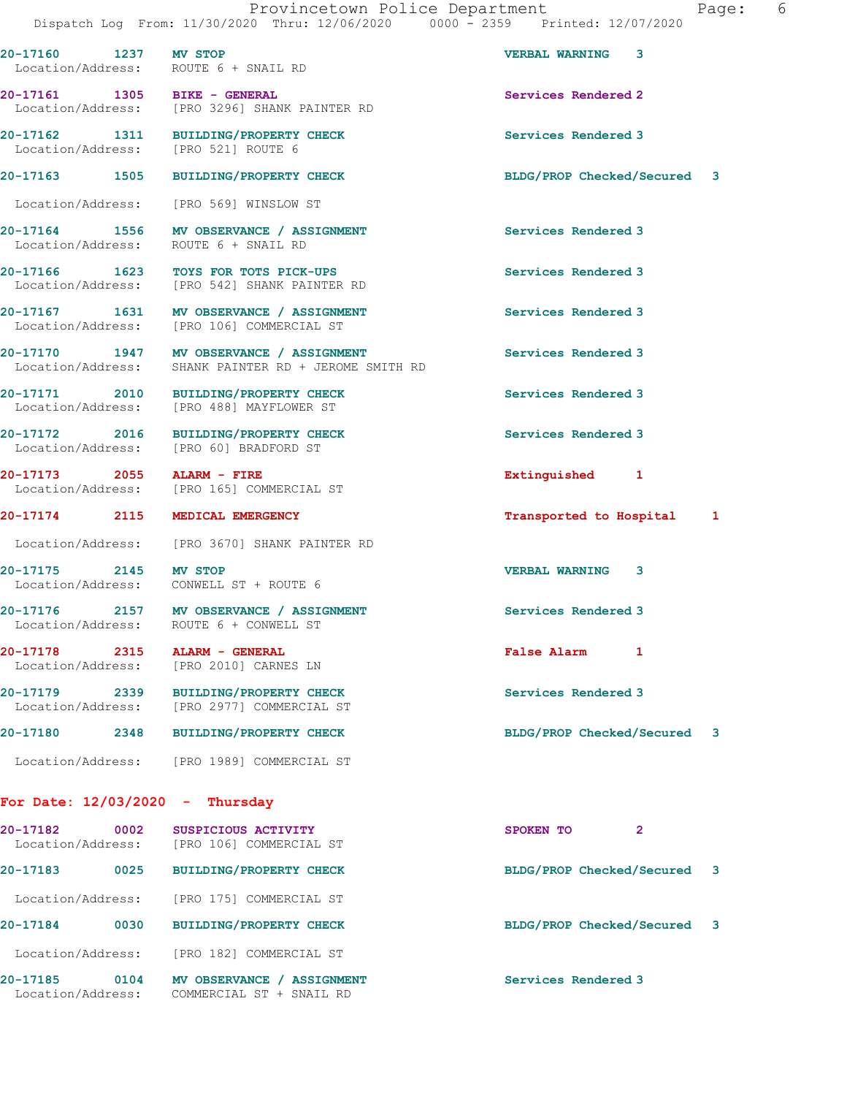**20-17160 1237 MV STOP VERBAL WARNING 3**  Location/Address: ROUTE 6 + SNAIL RD

**20-17161 1305 BIKE - GENERAL Services Rendered 2**  Location/Address: [PRO 3296] SHANK PAINTER RD

**20-17162 1311 BUILDING/PROPERTY CHECK Services Rendered 3**  Location/Address: [PRO 521] ROUTE 6

**20-17163 1505 BUILDING/PROPERTY CHECK BLDG/PROP Checked/Secured 3**

Location/Address: [PRO 569] WINSLOW ST

**20-17164 1556 MV OBSERVANCE / ASSIGNMENT Services Rendered 3**  Location/Address: ROUTE 6 + SNAIL RD

**20-17166 1623 TOYS FOR TOTS PICK-UPS Services Rendered 3**  Location/Address: [PRO 542] SHANK PAINTER RD

20-17167 1631 MV OBSERVANCE / ASSIGNMENT Services Rendered 3 Location/Address: [PRO 106] COMMERCIAL ST

**20-17170 1947 MV OBSERVANCE / ASSIGNMENT Services Rendered 3**  Location/Address: SHANK PAINTER RD + JEROME SMITH RD

**20-17171 2010 BUILDING/PROPERTY CHECK Services Rendered 3**  Location/Address: [PRO 488] MAYFLOWER ST

**20-17172 2016 BUILDING/PROPERTY CHECK Services Rendered 3**  Location/Address: [PRO 60] BRADFORD ST

**20-17173 2055 ALARM - FIRE Extinguished 1**  Location/Address: [PRO 165] COMMERCIAL ST

**20-17174 2115 MEDICAL EMERGENCY Transported to Hospital 1**

Location/Address: [PRO 3670] SHANK PAINTER RD

**20-17175 2145 MV STOP VERBAL WARNING 3**  Location/Address: CONWELL ST + ROUTE 6

**20-17176 2157 MV OBSERVANCE / ASSIGNMENT Services Rendered 3**  Location/Address: ROUTE 6 + CONWELL ST

**20-17178 2315 ALARM - GENERAL False Alarm 1**  Location/Address: [PRO 2010] CARNES LN

20-17179 2339 BUILDING/PROPERTY CHECK Services Rendered 3<br>
Location/Address: [PRO 2977] COMMERCIAL ST [PRO 2977] COMMERCIAL ST

**20-17180 2348 BUILDING/PROPERTY CHECK BLDG/PROP Checked/Secured 3** Location/Address: [PRO 1989] COMMERCIAL ST

**For Date: 12/03/2020 - Thursday**

**20-17182 0002 SUSPICIOUS ACTIVITY SPOKEN TO 2**  Location/Address: [PRO 106] COMMERCIAL ST **20-17183 0025 BUILDING/PROPERTY CHECK BLDG/PROP Checked/Secured 3** Location/Address: [PRO 175] COMMERCIAL ST **20-17184 0030 BUILDING/PROPERTY CHECK BLDG/PROP Checked/Secured 3** Location/Address: [PRO 182] COMMERCIAL ST 20-17185 0104 MV OBSERVANCE / ASSIGNMENT **Services Rendered 3** Location/Address: COMMERCIAL ST + SNAIL RD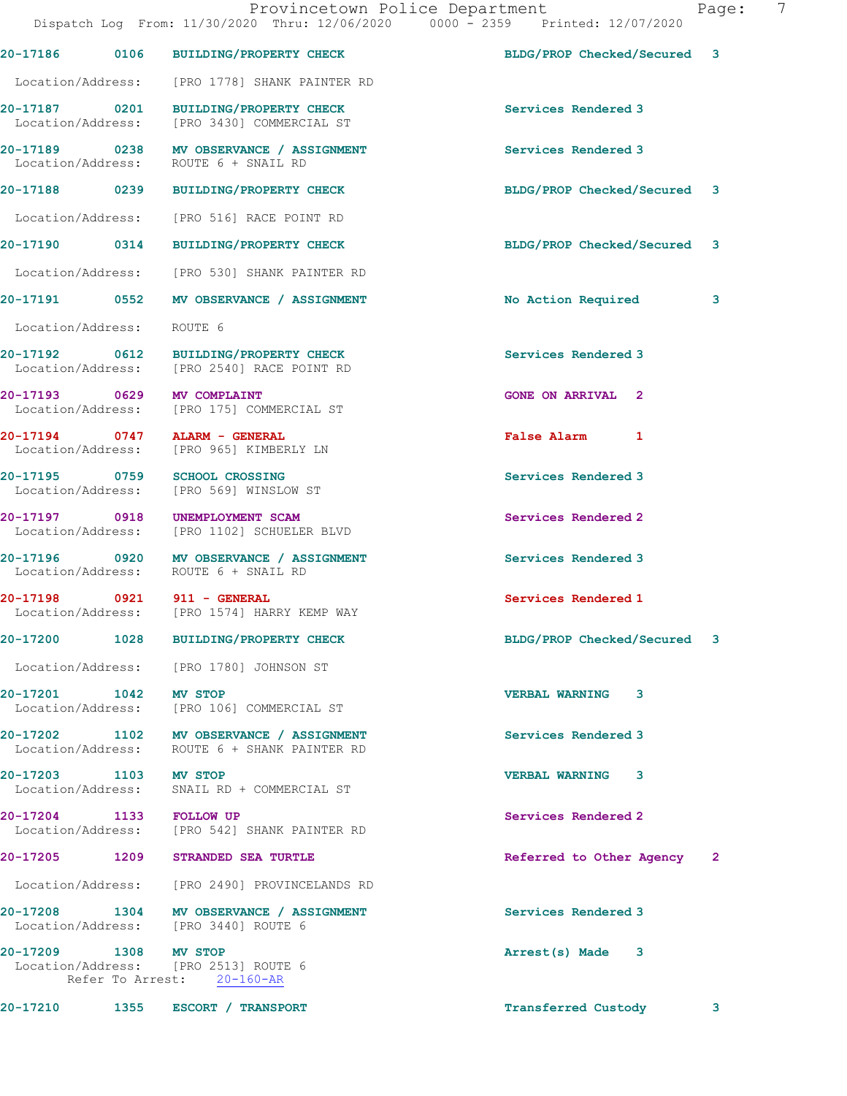|                           | Provincetown Police Department<br>Dispatch Log From: 11/30/2020 Thru: 12/06/2020 0000 - 2359 Printed: 12/07/2020 |                             | $\overline{7}$<br>Page: |
|---------------------------|------------------------------------------------------------------------------------------------------------------|-----------------------------|-------------------------|
|                           | 20-17186 0106 BUILDING/PROPERTY CHECK                                                                            | BLDG/PROP Checked/Secured 3 |                         |
|                           | Location/Address: [PRO 1778] SHANK PAINTER RD                                                                    |                             |                         |
|                           | 20-17187 0201 BUILDING/PROPERTY CHECK<br>Location/Address: [PRO 3430] COMMERCIAL ST                              | Services Rendered 3         |                         |
|                           | 20-17189 0238 MV OBSERVANCE / ASSIGNMENT<br>Location/Address: ROUTE 6 + SNAIL RD                                 | Services Rendered 3         |                         |
|                           | 20-17188 0239 BUILDING/PROPERTY CHECK                                                                            | BLDG/PROP Checked/Secured 3 |                         |
|                           | Location/Address: [PRO 516] RACE POINT RD                                                                        |                             |                         |
|                           | 20-17190 0314 BUILDING/PROPERTY CHECK                                                                            | BLDG/PROP Checked/Secured 3 |                         |
|                           | Location/Address: [PRO 530] SHANK PAINTER RD                                                                     |                             |                         |
|                           | 20-17191 0552 MV OBSERVANCE / ASSIGNMENT                                                                         | No Action Required          | 3                       |
| Location/Address: ROUTE 6 |                                                                                                                  |                             |                         |
|                           | 20-17192 0612 BUILDING/PROPERTY CHECK<br>Location/Address: [PRO 2540] RACE POINT RD                              | Services Rendered 3         |                         |
|                           | 20-17193 0629 MV COMPLAINT<br>Location/Address: [PRO 175] COMMERCIAL ST                                          | <b>GONE ON ARRIVAL 2</b>    |                         |
|                           | 20-17194 0747 ALARM - GENERAL<br>Location/Address: [PRO 965] KIMBERLY LN                                         | False Alarm 1               |                         |
|                           | 20-17195 0759 SCHOOL CROSSING<br>Location/Address: [PRO 569] WINSLOW ST                                          | Services Rendered 3         |                         |
|                           | 20-17197 0918 UNEMPLOYMENT SCAM<br>Location/Address: [PRO 1102] SCHUELER BLVD                                    | Services Rendered 2         |                         |
|                           | 20-17196 0920 MV OBSERVANCE / ASSIGNMENT<br>Location/Address: ROUTE 6 + SNAIL RD                                 | Services Rendered 3         |                         |
|                           | 20-17198 0921 911 - GENERAL<br>Location/Address: [PRO 1574] HARRY KEMP WAY                                       | Services Rendered 1         |                         |
|                           | 20-17200 1028 BUILDING/PROPERTY CHECK                                                                            | BLDG/PROP Checked/Secured 3 |                         |
|                           | Location/Address: [PRO 1780] JOHNSON ST                                                                          |                             |                         |
| 20-17201 1042 MV STOP     | Location/Address: [PRO 106] COMMERCIAL ST                                                                        | <b>VERBAL WARNING 3</b>     |                         |
|                           | 20-17202 1102 MV OBSERVANCE / ASSIGNMENT<br>Location/Address: ROUTE 6 + SHANK PAINTER RD                         | Services Rendered 3         |                         |
| 20-17203 1103 MV STOP     | Location/Address: SNAIL RD + COMMERCIAL ST                                                                       | <b>VERBAL WARNING 3</b>     |                         |
|                           | 20-17204 1133 FOLLOW UP<br>Location/Address: [PRO 542] SHANK PAINTER RD                                          | Services Rendered 2         |                         |
|                           | 20-17205 1209 STRANDED SEA TURTLE                                                                                | Referred to Other Agency    | $\mathbf{2}$            |
|                           | Location/Address: [PRO 2490] PROVINCELANDS RD                                                                    |                             |                         |
|                           | 20-17208 1304 MV OBSERVANCE / ASSIGNMENT<br>Location/Address: [PRO 3440] ROUTE 6                                 | Services Rendered 3         |                         |
| 20-17209 1308 MV STOP     | Location/Address: [PRO 2513] ROUTE 6<br>Refer To Arrest: 20-160-AR                                               | Arrest(s) Made 3            |                         |
|                           |                                                                                                                  |                             |                         |

20-17210 1355 ESCORT / TRANSPORT **1200 Transferred Custody** 3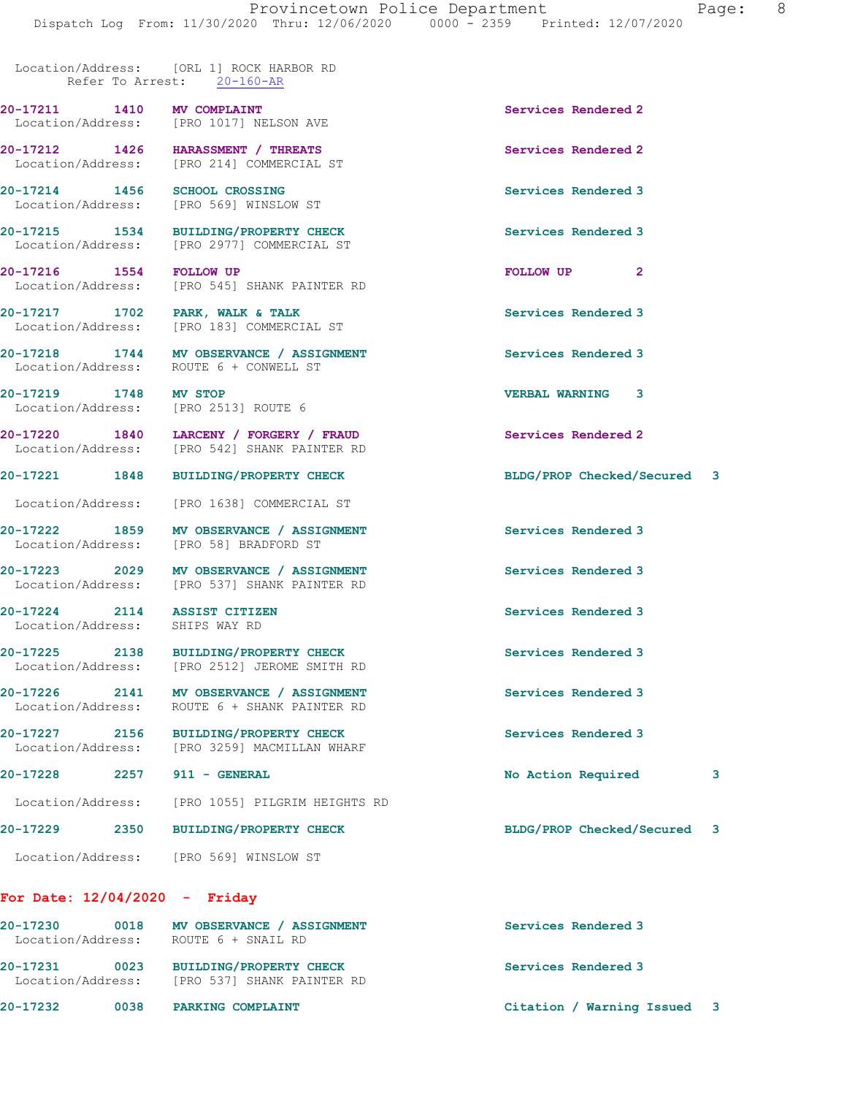Location/Address: [ORL 1] ROCK HARBOR RD Refer To Arrest: 20-160-AR

Location/Address: [PRO 1017] NELSON AVE

**20-17212 1426 HARASSMENT / THREATS Services Rendered 2**  Location/Address: [PRO 214] COMMERCIAL ST

**20-17214 1456 SCHOOL CROSSING Services Rendered 3**  Location/Address: [PRO 569] WINSLOW ST

**20-17215 1534 BUILDING/PROPERTY CHECK Services Rendered 3**  Location/Address: [PRO 2977] COMMERCIAL ST

**20-17216 1554 FOLLOW UP FOLLOW UP 2**  Location/Address: [PRO 545] SHANK PAINTER RD

**20-17217 1702 PARK, WALK & TALK SERVICES Rendered 3 Location/Address:** [PRO 183] COMMERCIAL ST

Location/Address: ROUTE 6 + CONWELL ST

**20-17219 1748 MV STOP VERBAL WARNING 3**  Location/Address: [PRO 2513] ROUTE 6

**20-17220 1840 LARCENY / FORGERY / FRAUD Services Rendered 2**  Location/Address: [PRO 542] SHANK PAINTER RD

Location/Address: [PRO 1638] COMMERCIAL ST

**20-17222 1859 MV OBSERVANCE / ASSIGNMENT Services Rendered 3** 

**20-17224 2114 ASSIST CITIZEN Services Rendered 3**  Location/Address: SHIPS WAY RD

Location/Address: [PRO 58] BRADFORD ST

20-17223 2029 MV OBSERVANCE / ASSIGNMENT **Services Rendered 3 Interval Contains Services Rendered 3** [PRO 537] SHANK PAINTER RD

[PRO 183] COMMERCIAL ST

**20-17225 2138 BUILDING/PROPERTY CHECK Services Rendered 3**  Location/Address: [PRO 2512] JEROME SMITH RD

20-17226 2141 MV OBSERVANCE / ASSIGNMENT Services Rendered 3 Location/Address: ROUTE 6 + SHANK PAINTER RD

**20-17227 2156 BUILDING/PROPERTY CHECK Services Rendered 3**  Location/Address: [PRO 3259] MACMILLAN WHARF

Location/Address: [PRO 1055] PILGRIM HEIGHTS RD

**20-17229 2350 BUILDING/PROPERTY CHECK BLDG/PROP Checked/Secured 3**

Location/Address: [PRO 569] WINSLOW ST

## **For Date: 12/04/2020 - Friday**

| 20-17230<br>Location/Address: | 0018 | MV OBSERVANCE / ASSIGNMENT<br>ROUTE 6 + SNAIL RD             | Services Rendered 3 |
|-------------------------------|------|--------------------------------------------------------------|---------------------|
| 20-17231<br>Location/Address: | 0023 | <b>BUILDING/PROPERTY CHECK</b><br>[PRO 537] SHANK PAINTER RD | Services Rendered 3 |
|                               |      |                                                              |                     |

**20-17211 1410 MV COMPLAINT Services Rendered 2** 

**20-17218 1744 MV OBSERVANCE / ASSIGNMENT Services Rendered 3** 

**20-17221 1848 BUILDING/PROPERTY CHECK BLDG/PROP Checked/Secured 3**

**20-17228 2257 911 - GENERAL No Action Required 3**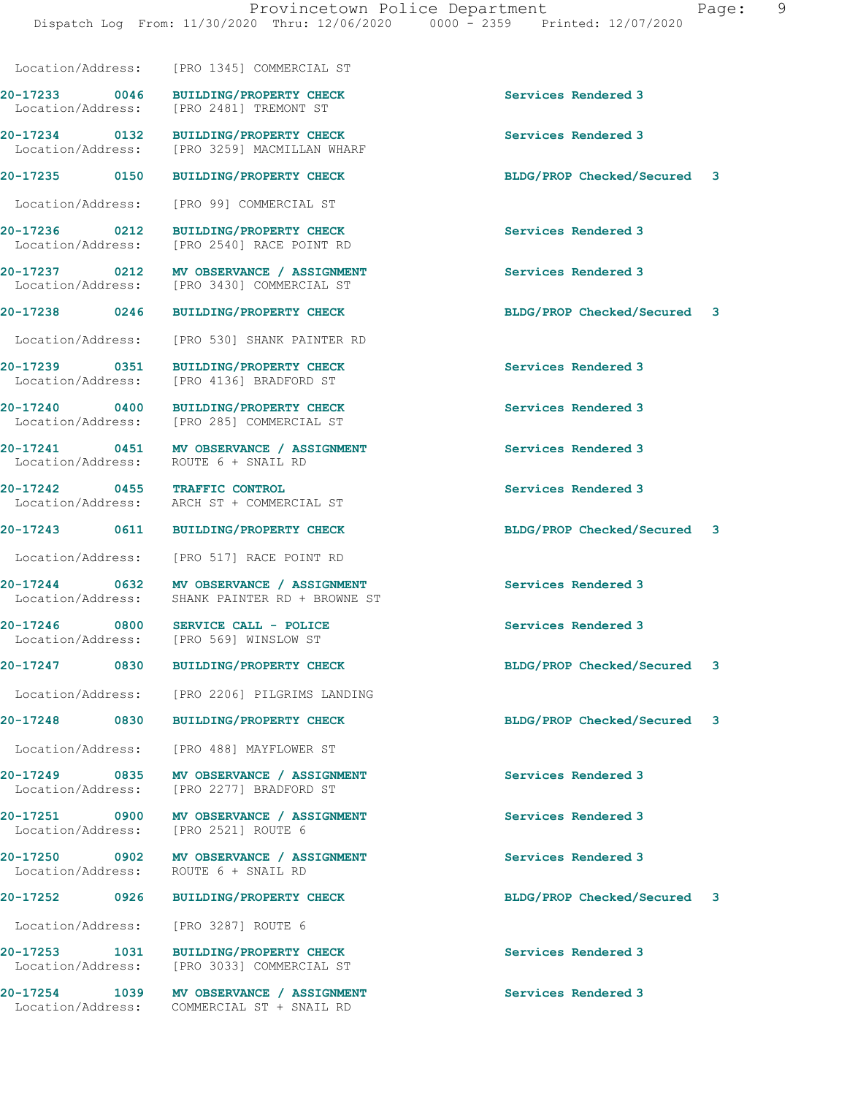Location/Address: [PRO 3259] MACMILLAN WHARF **20-17235 0150 BUILDING/PROPERTY CHECK BLDG/PROP Checked/Secured 3** Location/Address: [PRO 99] COMMERCIAL ST **20-17236 0212 BUILDING/PROPERTY CHECK Services Rendered 3**  Location/Address: [PRO 2540] RACE POINT RD **20-17237 0212 MV OBSERVANCE / ASSIGNMENT Services Rendered 3**  Location/Address: [PRO 3430] COMMERCIAL ST **20-17238 0246 BUILDING/PROPERTY CHECK BLDG/PROP Checked/Secured 3** Location/Address: [PRO 530] SHANK PAINTER RD **20-17239 0351 BUILDING/PROPERTY CHECK Services Rendered 3**  Location/Address: [PRO 4136] BRADFORD ST **20-17240** 0400 BUILDING/PROPERTY CHECK Services Rendered 3<br>
Location/Address: [PRO 285] COMMERCIAL ST [PRO 285] COMMERCIAL ST **20-17241 0451 MV OBSERVANCE / ASSIGNMENT Services Rendered 3**  Location/Address: ROUTE 6 + SNAIL RD **20-17242 0455 TRAFFIC CONTROL Services Rendered 3**  Location/Address: ARCH ST + COMMERCIAL ST **20-17243 0611 BUILDING/PROPERTY CHECK BLDG/PROP Checked/Secured 3** Location/Address: [PRO 517] RACE POINT RD **20-17244 0632 MV OBSERVANCE / ASSIGNMENT Services Rendered 3 Services Rendered 3** SHANK PAINTER RD + BROWNE ST **20-17246 0800 SERVICE CALL - POLICE Services Rendered 3**  Location/Address: [PRO 569] WINSLOW ST **20-17247 0830 BUILDING/PROPERTY CHECK BLDG/PROP Checked/Secured 3**

Location/Address: [PRO 1345] COMMERCIAL ST

Location/Address: [PRO 2481] TREMONT ST

Location/Address: [PRO 2206] PILGRIMS LANDING

**20-17248 0830 BUILDING/PROPERTY CHECK BLDG/PROP Checked/Secured 3**

Location/Address: [PRO 488] MAYFLOWER ST

**20-17249 0835 MV OBSERVANCE / ASSIGNMENT Services Rendered 3**  [PRO 2277] BRADFORD ST

**20-17251 0900 MV OBSERVANCE / ASSIGNMENT Services Rendered 3**  Location/Address: [PRO 2521] ROUTE 6

**20-17250 0902 MV OBSERVANCE / ASSIGNMENT Services Rendered 3**  Location/Address: ROUTE 6 + SNAIL RD

Location/Address: [PRO 3287] ROUTE 6

**20-17253 1031 BUILDING/PROPERTY CHECK Services Rendered 3**  Location/Address: [PRO 3033] COMMERCIAL ST

20-17254 1039 MV OBSERVANCE / ASSIGNMENT **Services Rendered 3** Location/Address: COMMERCIAL ST + SNAIL RD

**20-17233 0046 BUILDING/PROPERTY CHECK Services Rendered 3** 

**20-17234 0132 BUILDING/PROPERTY CHECK Services Rendered 3** 

**20-17252 0926 BUILDING/PROPERTY CHECK BLDG/PROP Checked/Secured 3**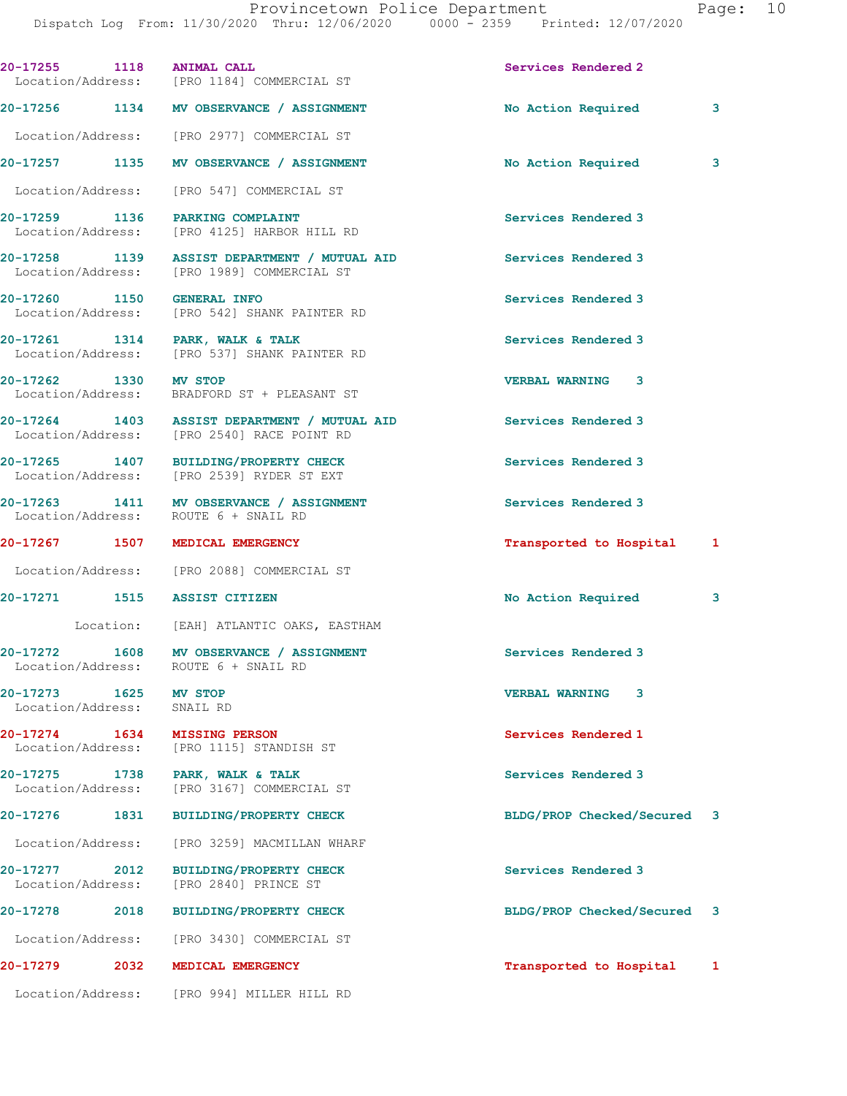| 20-17255 1118 ANIMAL CALL             | Location/Address: [PRO 1184] COMMERCIAL ST                                                 | Services Rendered 2          |  |
|---------------------------------------|--------------------------------------------------------------------------------------------|------------------------------|--|
|                                       | 20-17256 1134 MV OBSERVANCE / ASSIGNMENT                                                   | No Action Required<br>3      |  |
|                                       | Location/Address: [PRO 2977] COMMERCIAL ST                                                 |                              |  |
|                                       | 20-17257 1135 MV OBSERVANCE / ASSIGNMENT                                                   | No Action Required<br>3      |  |
|                                       | Location/Address: [PRO 547] COMMERCIAL ST                                                  |                              |  |
|                                       | 20-17259 1136 PARKING COMPLAINT<br>Location/Address: [PRO 4125] HARBOR HILL RD             | Services Rendered 3          |  |
|                                       | 20-17258 1139 ASSIST DEPARTMENT / MUTUAL AID<br>Location/Address: [PRO 1989] COMMERCIAL ST | Services Rendered 3          |  |
| 20-17260 1150 GENERAL INFO            | Location/Address: [PRO 542] SHANK PAINTER RD                                               | Services Rendered 3          |  |
|                                       | 20-17261 1314 PARK, WALK & TALK<br>Location/Address: [PRO 537] SHANK PAINTER RD            | Services Rendered 3          |  |
| 20-17262 1330 MV STOP                 | Location/Address: BRADFORD ST + PLEASANT ST                                                | VERBAL WARNING 3             |  |
|                                       | 20-17264 1403 ASSIST DEPARTMENT / MUTUAL AID<br>Location/Address: [PRO 2540] RACE POINT RD | Services Rendered 3          |  |
|                                       | 20-17265 1407 BUILDING/PROPERTY CHECK<br>Location/Address: [PRO 2539] RYDER ST EXT         | Services Rendered 3          |  |
|                                       | 20-17263 1411 MV OBSERVANCE / ASSIGNMENT<br>Location/Address: ROUTE 6 + SNAIL RD           | Services Rendered 3          |  |
|                                       | 20-17267 1507 MEDICAL EMERGENCY                                                            | Transported to Hospital<br>1 |  |
|                                       | Location/Address: [PRO 2088] COMMERCIAL ST                                                 |                              |  |
| 20-17271 1515 ASSIST CITIZEN          |                                                                                            | No Action Required<br>3      |  |
|                                       | Location: [EAH] ATLANTIC OAKS, EASTHAM                                                     |                              |  |
| 20-17272 1608                         | <b>MV OBSERVANCE / ASSIGNMENT</b><br>Location/Address: ROUTE 6 + SNAIL RD                  | Services Rendered 3          |  |
| 20-17273<br>1625<br>Location/Address: | MV STOP<br>SNAIL RD                                                                        | 3<br><b>VERBAL WARNING</b>   |  |
| 20-17274 1634 MISSING PERSON          | Location/Address: [PRO 1115] STANDISH ST                                                   | Services Rendered 1          |  |
| Location/Address:                     | 20-17275 1738 PARK, WALK & TALK<br>[PRO 3167] COMMERCIAL ST                                | Services Rendered 3          |  |
|                                       | 20-17276 1831 BUILDING/PROPERTY CHECK                                                      | BLDG/PROP Checked/Secured 3  |  |
|                                       | Location/Address: [PRO 3259] MACMILLAN WHARF                                               |                              |  |
| 20-17277 2012<br>Location/Address:    | <b>BUILDING/PROPERTY CHECK</b><br>[PRO 2840] PRINCE ST                                     | Services Rendered 3          |  |
| 20-17278 2018                         | BUILDING/PROPERTY CHECK                                                                    | BLDG/PROP Checked/Secured 3  |  |
|                                       | Location/Address: [PRO 3430] COMMERCIAL ST                                                 |                              |  |
| 2032<br>20-17279                      | MEDICAL EMERGENCY                                                                          | Transported to Hospital<br>1 |  |
|                                       | Location/Address: [PRO 994] MILLER HILL RD                                                 |                              |  |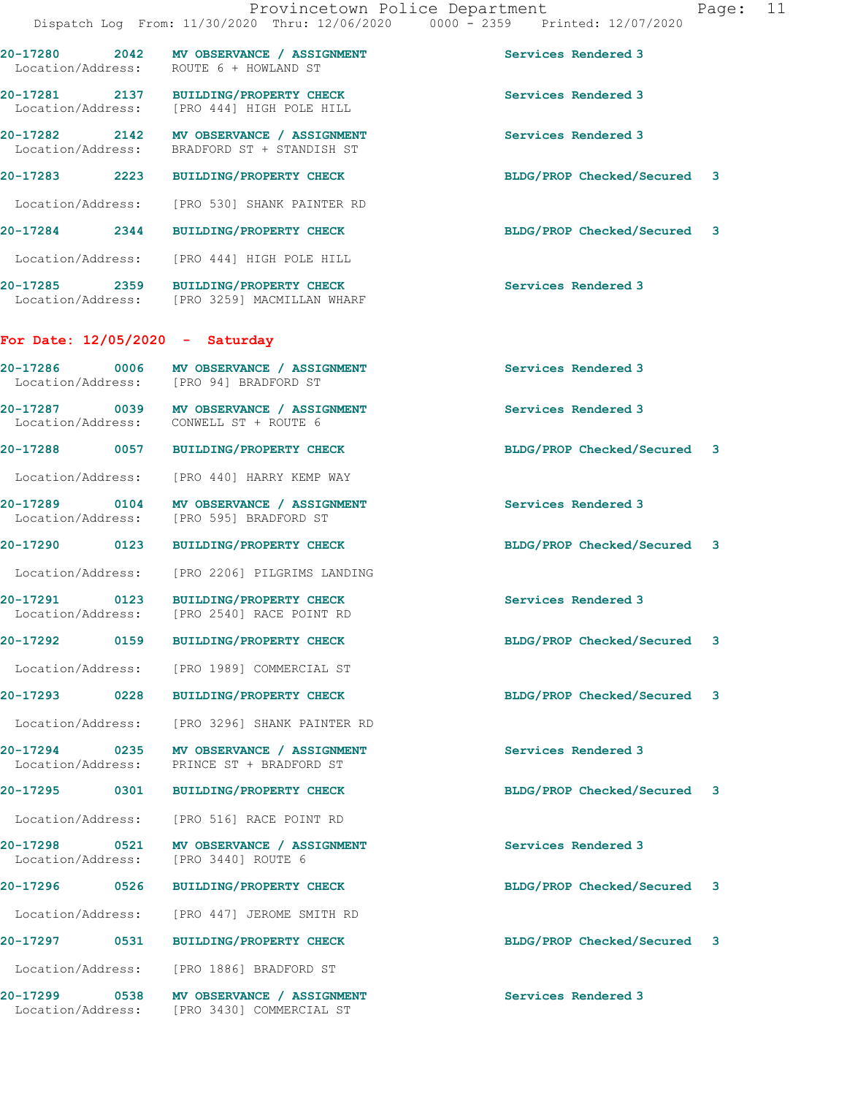**20-17284 2344 BUILDING/PROPERTY CHECK BLDG/PROP Checked/Secured 3** Location/Address: [PRO 444] HIGH POLE HILL

**20-17285 2359 BUILDING/PROPERTY CHECK Services Rendered 3**  Location/Address: [PRO 3259] MACMILLAN WHARF

## **For Date: 12/05/2020 - Saturday**

| 20-17286<br>Location/Address: | 0006 | MV OBSERVANCE / ASSIGNMENT<br>[PRO 94] BRADFORD ST | Services Rendered 3                                            |  |
|-------------------------------|------|----------------------------------------------------|----------------------------------------------------------------|--|
| 20-17287<br>Location/Address: | 0039 | MV OBSERVANCE / ASSIGNMENT<br>CONWELL ST + ROUTE 6 | Services Rendered 3                                            |  |
| 20-17288                      | 0057 | <b>BUILDING/PROPERTY CHECK</b>                     | $\overline{\phantom{a}}$ 3<br><b>BLDG/PROP Checked/Secured</b> |  |

Location/Address: [PRO 440] HARRY KEMP WAY

20-17289 0104 MV OBSERVANCE / ASSIGNMENT **Services Rendered 3 Internal Services Rendered 3 Internal Services** Rendered 3 [PRO 595] BRADFORD ST

**20-17290 0123 BUILDING/PROPERTY CHECK BLDG/PROP Checked/Secured 3**

Location/Address: [PRO 2206] PILGRIMS LANDING

**20-17291 0123 BUILDING/PROPERTY CHECK Services Rendered 3 Internal Services Rendered 3** [PRO 2540] RACE POINT RD

**20-17292 0159 BUILDING/PROPERTY CHECK BLDG/PROP Checked/Secured 3**

Location/Address: [PRO 1989] COMMERCIAL ST

Location/Address: [PRO 3296] SHANK PAINTER RD

**20-17294 0235 MV OBSERVANCE / ASSIGNMENT Services Rendered 3**  Location/Address: PRINCE ST + BRADFORD ST

Location/Address: [PRO 516] RACE POINT RD

**20-17298 0521 MV OBSERVANCE / ASSIGNMENT Services Rendered 3** 

Location/Address: [PRO 447] JEROME SMITH RD

Location/Address: [PRO 1886] BRADFORD ST

Location/Address:

**20-17299 0538 MV OBSERVANCE / ASSIGNMENT Services Rendered 3**  Location/Address: [PRO 3430] COMMERCIAL ST

**20-17293 0228 BUILDING/PROPERTY CHECK BLDG/PROP Checked/Secured 3**

**20-17295 0301 BUILDING/PROPERTY CHECK BLDG/PROP Checked/Secured 3**

**20-17296 0526 BUILDING/PROPERTY CHECK BLDG/PROP Checked/Secured 3**

**20-17297 0531 BUILDING/PROPERTY CHECK BLDG/PROP Checked/Secured 3**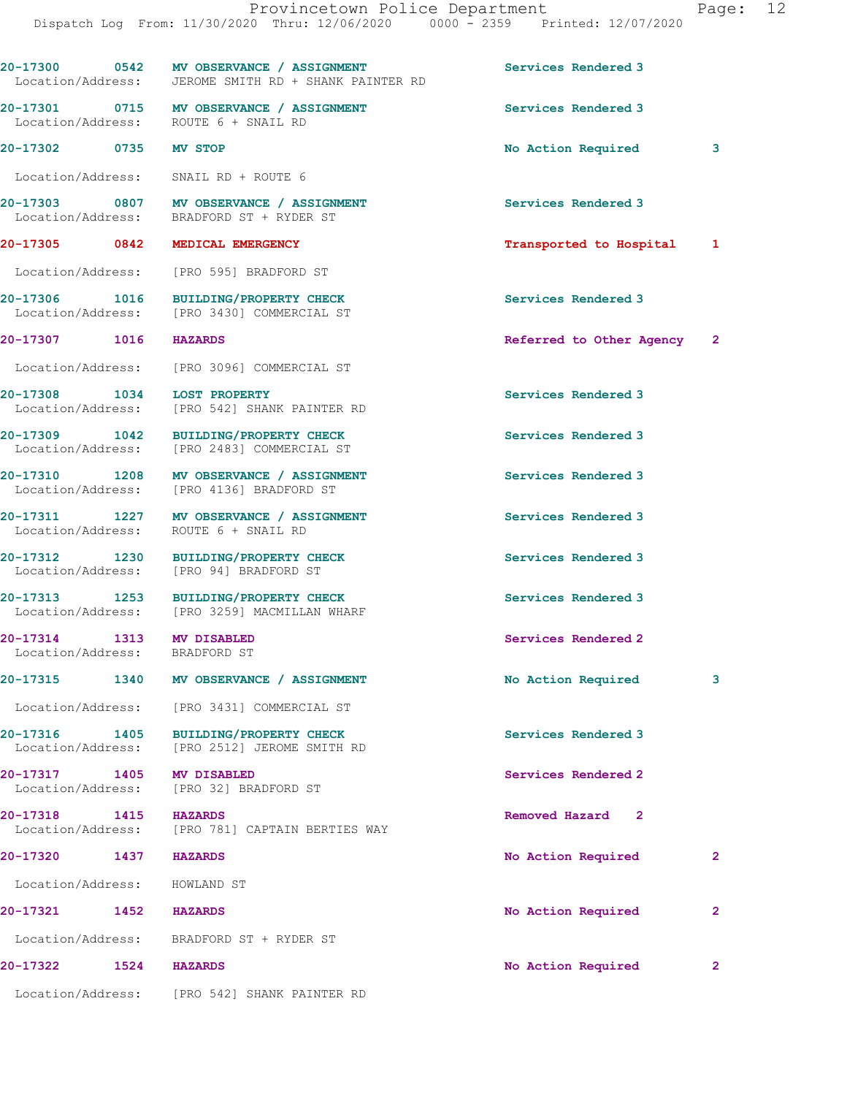Provincetown Police Department Fage: 12 Dispatch Log From: 11/30/2020 Thru: 12/06/2020 0000 - 2359 Printed: 12/07/2020 **20-17300 0542 MV OBSERVANCE / ASSIGNMENT Services Rendered 3**  Location/Address: JEROME SMITH RD + SHANK PAINTER RD **20-17301 0715 MV OBSERVANCE / ASSIGNMENT Services Rendered 3**  Location/Address: ROUTE 6 + SNAIL RD **20-17302 0735 MV STOP No Action Required 3** Location/Address: SNAIL RD + ROUTE 6 **20-17303 0807 MV OBSERVANCE / ASSIGNMENT Services Rendered 3**  Location/Address: BRADFORD ST + RYDER ST **20-17305 0842 MEDICAL EMERGENCY Transported to Hospital 1** Location/Address: [PRO 595] BRADFORD ST **20-17306 1016 BUILDING/PROPERTY CHECK Services Rendered 3**  Location/Address: [PRO 3430] COMMERCIAL ST **20-17307 1016 HAZARDS Referred to Other Agency 2** Location/Address: [PRO 3096] COMMERCIAL ST **20-17308 1034 LOST PROPERTY Services Rendered 3**  Location/Address: [PRO 542] SHANK PAINTER RD **20-17309 1042 BUILDING/PROPERTY CHECK Services Rendered 3**  Location/Address: [PRO 2483] COMMERCIAL ST 20-17310 1208 MV OBSERVANCE / ASSIGNMENT **Services Rendered 3**  Location/Address: [PRO 4136] BRADFORD ST **20-17311 1227 MV OBSERVANCE / ASSIGNMENT Services Rendered 3**  Location/Address: ROUTE 6 + SNAIL RD **20-17312 1230 BUILDING/PROPERTY CHECK Services Rendered 3**  Location/Address: [PRO 94] BRADFORD ST **20-17313 1253 BUILDING/PROPERTY CHECK Services Rendered 3**  Location/Address: [PRO 3259] MACMILLAN WHARF **20-17314 1313 MV DISABLED Services Rendered 2**  Location/Address: BRADFORD ST **20-17315 1340 MV OBSERVANCE / ASSIGNMENT No Action Required 3** Location/Address: [PRO 3431] COMMERCIAL ST **20-17316 1405 BUILDING/PROPERTY CHECK Services Rendered 3**  Location/Address: [PRO 2512] JEROME SMITH RD **20-17317 1405 MV DISABLED Services Rendered 2 Services Rendered 2 Services Rendered 2** [PRO 32] BRADFORD ST **20-17318 1415 HAZARDS Removed Hazard 2**  Location/Address: [PRO 781] CAPTAIN BERTIES WAY **20-17320 1437 HAZARDS No Action Required 2** Location/Address: HOWLAND ST **20-17321 1452 HAZARDS No Action Required 2** Location/Address: BRADFORD ST + RYDER ST

Location/Address: [PRO 542] SHANK PAINTER RD

**20-17322 1524 HAZARDS No Action Required 2**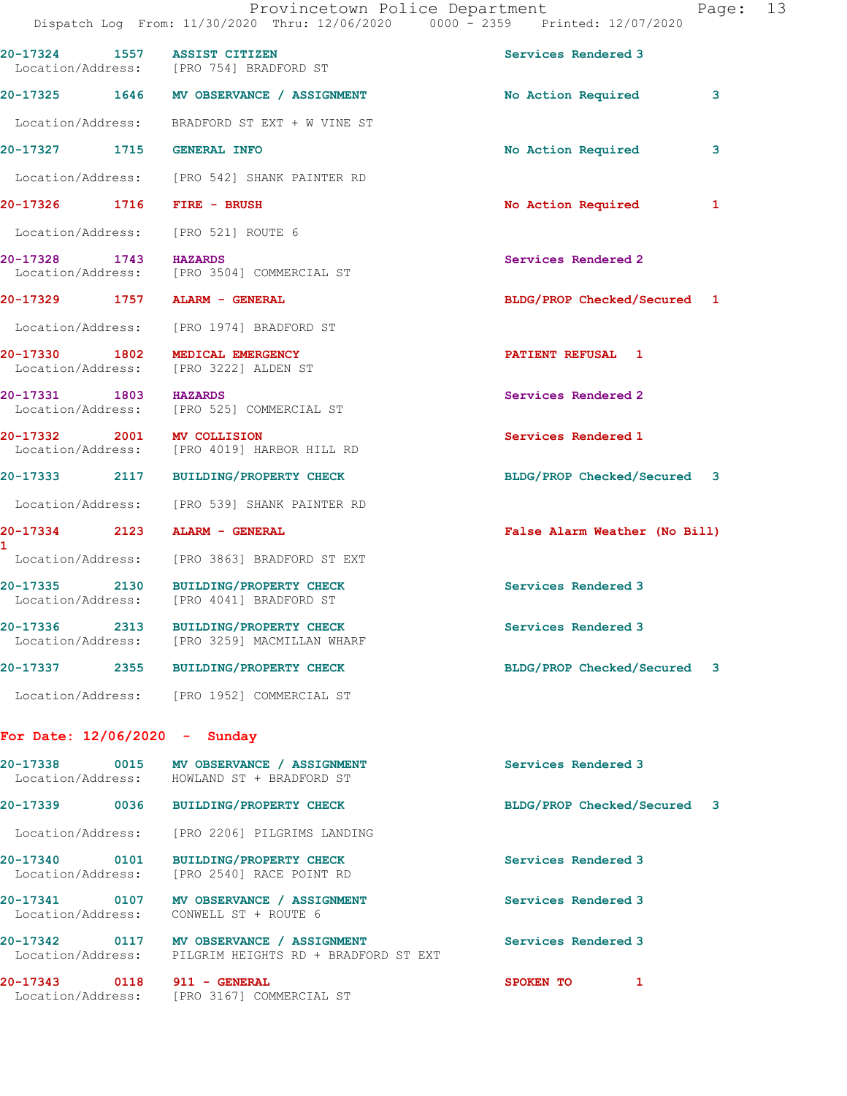|                                            |      | 20-17324 1557 ASSIST CITIZEN<br>Location/Address: [PRO 754] BRADFORD ST                            | Services Rendered 3           |   |
|--------------------------------------------|------|----------------------------------------------------------------------------------------------------|-------------------------------|---|
|                                            |      | 20-17325 1646 MV OBSERVANCE / ASSIGNMENT                                                           | No Action Required            | 3 |
|                                            |      | Location/Address: BRADFORD ST EXT + W VINE ST                                                      |                               |   |
| 20-17327 1715                              |      | <b>GENERAL INFO</b>                                                                                | No Action Required            | 3 |
|                                            |      | Location/Address: [PRO 542] SHANK PAINTER RD                                                       |                               |   |
| 20-17326 1716                              |      | FIRE - BRUSH                                                                                       | No Action Required            | 1 |
| Location/Address:                          |      | [PRO 521] ROUTE 6                                                                                  |                               |   |
| 20-17328 1743 HAZARDS                      |      | Location/Address: [PRO 3504] COMMERCIAL ST                                                         | Services Rendered 2           |   |
|                                            |      | 20-17329 1757 ALARM - GENERAL                                                                      | BLDG/PROP Checked/Secured 1   |   |
|                                            |      | Location/Address: [PRO 1974] BRADFORD ST                                                           |                               |   |
| 20-17330 1802<br>Location/Address:         |      | MEDICAL EMERGENCY<br>[PRO 3222] ALDEN ST                                                           | PATIENT REFUSAL 1             |   |
| 20-17331 1803 HAZARDS<br>Location/Address: |      | [PRO 525] COMMERCIAL ST                                                                            | Services Rendered 2           |   |
| 20-17332 2001<br>Location/Address:         |      | <b>MV COLLISION</b><br>[PRO 4019] HARBOR HILL RD                                                   | Services Rendered 1           |   |
| 20-17333 2117                              |      | <b>BUILDING/PROPERTY CHECK</b>                                                                     | BLDG/PROP Checked/Secured 3   |   |
|                                            |      | Location/Address: [PRO 539] SHANK PAINTER RD                                                       |                               |   |
| 20-17334 2123<br>$\mathbf{1}$              |      | ALARM - GENERAL                                                                                    | False Alarm Weather (No Bill) |   |
|                                            |      | Location/Address: [PRO 3863] BRADFORD ST EXT                                                       |                               |   |
| 20-17335 2130<br>Location/Address:         |      | <b>BUILDING/PROPERTY CHECK</b><br>[PRO 4041] BRADFORD ST                                           | Services Rendered 3           |   |
|                                            |      | 20-17336 2313 BUILDING/PROPERTY CHECK<br>Location/Address: [PRO 3259] MACMILLAN WHARF              | Services Rendered 3           |   |
| 20-17337                                   | 2355 | <b>BUILDING/PROPERTY CHECK</b>                                                                     | BLDG/PROP Checked/Secured 3   |   |
|                                            |      | Location/Address: [PRO 1952] COMMERCIAL ST                                                         |                               |   |
| For Date: $12/06/2020 -$ Sunday            |      |                                                                                                    |                               |   |
|                                            |      | 20-17338 0015 MV OBSERVANCE / ASSIGNMENT<br>Location/Address: HOWLAND ST + BRADFORD ST             | Services Rendered 3           |   |
|                                            |      | 20-17339 0036 BUILDING/PROPERTY CHECK                                                              | BLDG/PROP Checked/Secured 3   |   |
|                                            |      | Location/Address: [PRO 2206] PILGRIMS LANDING                                                      |                               |   |
|                                            |      | 20-17340 0101 BUILDING/PROPERTY CHECK<br>Location/Address: [PRO 2540] RACE POINT RD                | Services Rendered 3           |   |
|                                            |      | 20-17341 0107 MV OBSERVANCE / ASSIGNMENT<br>Location/Address: CONWELL ST + ROUTE 6                 | Services Rendered 3           |   |
|                                            |      | 20-17342 0117 MV OBSERVANCE / ASSIGNMENT<br>Location/Address: PILGRIM HEIGHTS RD + BRADFORD ST EXT | Services Rendered 3           |   |
| 20-17343 0118 911 - GENERAL                |      | Location/Address: [PRO 3167] COMMERCIAL ST                                                         | SPOKEN TO<br>$\mathbf{1}$     |   |
|                                            |      |                                                                                                    |                               |   |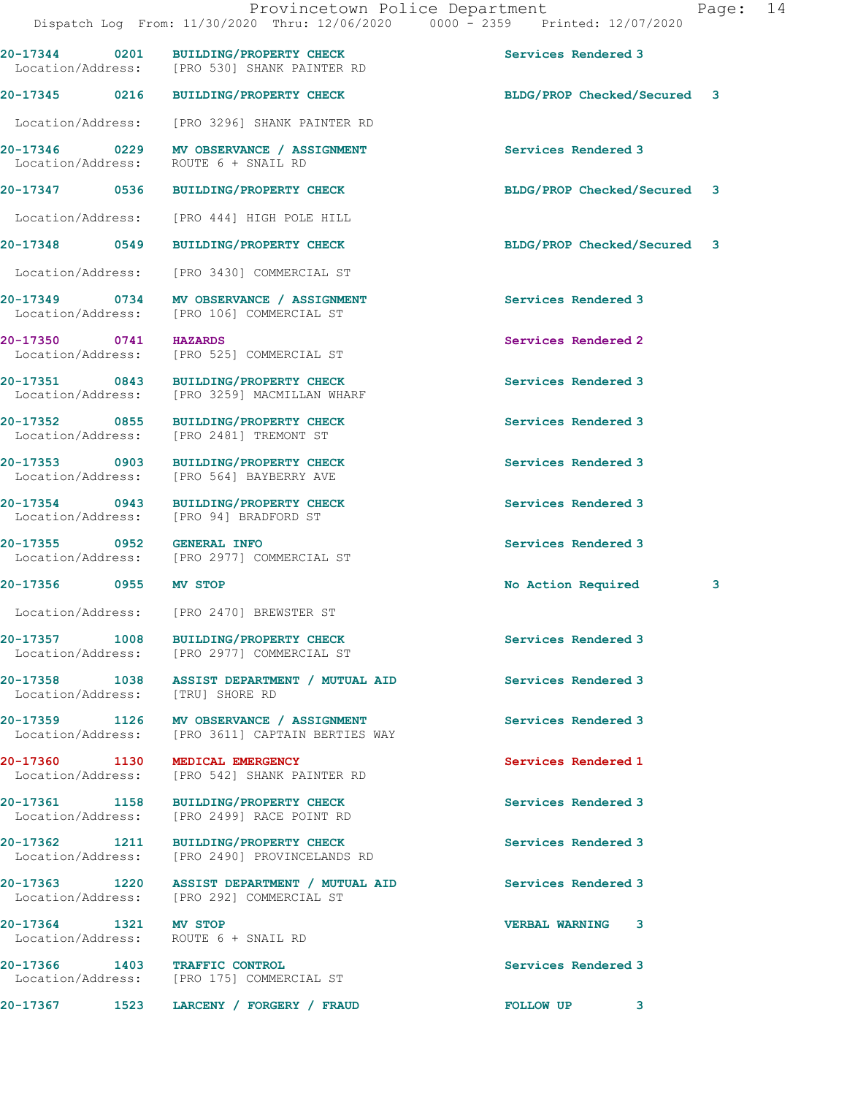**20-17344 0201 BUILDING/PROPERTY CHECK Services Rendered 3**  Location/Address: [PRO 530] SHANK PAINTER RD **20-17345 0216 BUILDING/PROPERTY CHECK BLDG/PROP Checked/Secured 3** Location/Address: [PRO 3296] SHANK PAINTER RD **20-17346 0229 MV OBSERVANCE / ASSIGNMENT Services Rendered 3**  Location/Address: ROUTE 6 + SNAIL RD **20-17347 0536 BUILDING/PROPERTY CHECK BLDG/PROP Checked/Secured 3** Location/Address: [PRO 444] HIGH POLE HILL **20-17348 0549 BUILDING/PROPERTY CHECK BLDG/PROP Checked/Secured 3** Location/Address: [PRO 3430] COMMERCIAL ST **20-17349 0734 MV OBSERVANCE / ASSIGNMENT Services Rendered 3**  Location/Address: [PRO 106] COMMERCIAL ST **20-17350 0741 HAZARDS Services Rendered 2**<br>
Location/Address: [PRO 525] COMMERCIAL ST [PRO 525] COMMERCIAL ST 20-17351 0843 BUILDING/PROPERTY CHECK Services Rendered 3<br>
Location/Address: [PRO 3259] MACMILLAN WHARF [PRO 3259] MACMILLAN WHARF 20-17352 0855 BUILDING/PROPERTY CHECK Services Rendered 3<br>
Location/Address: [PRO 2481] TREMONT ST Location/Address: **20-17353 0903 BUILDING/PROPERTY CHECK Services Rendered 3**  Location/Address: [PRO 564] BAYBERRY AVE **20-17354 0943 BUILDING/PROPERTY CHECK Services Rendered 3**  Location/Address: [PRO 94] BRADFORD ST **20-17355 0952 GENERAL INFO Services Rendered 3**  [PRO 2977] COMMERCIAL ST **20-17356 0955 MV STOP No Action Required 3** Location/Address: [PRO 2470] BREWSTER ST 20-17357 1008 BUILDING/PROPERTY CHECK Services Rendered 3<br>
Location/Address: [PRO 2977] COMMERCIAL ST [PRO 2977] COMMERCIAL ST **20-17358 1038 ASSIST DEPARTMENT / MUTUAL AID Services Rendered 3**  Location/Address: [TRU] SHORE RD

20-17359 1126 MV OBSERVANCE / ASSIGNMENT **Services Rendered 3 1126 MV OBSERVANCE / ASSIGNMENT** Services Rendered 3 [PRO 3611] CAPTAIN BERTIES WAY

**20-17360 1130 MEDICAL EMERGENCY Services Rendered 1**  Location/Address: [PRO 542] SHANK PAINTER RD

**20-17361 1158 BUILDING/PROPERTY CHECK Services Rendered 3**<br>
Location/Address: [PRO 2499] RACE POINT RD [PRO 2499] RACE POINT RD

**20-17362 1211 BUILDING/PROPERTY CHECK Services Rendered 3**  Location/Address: [PRO 2490] PROVINCELANDS RD

20-17363 1220 ASSIST DEPARTMENT / MUTUAL AID **Services Rendered 3** Location/Address: [PRO 292] COMMERCIAL ST

Location/Address: ROUTE 6 + SNAIL RD

**20-17366 1403 TRAFFIC CONTROL Services Rendered 3**  Location/Address: [PRO 175] COMMERCIAL ST

**20-17367 1523 LARCENY / FORGERY / FRAUD FOLLOW UP 3** 

**20-17364 1321 MV STOP VERBAL WARNING 3**